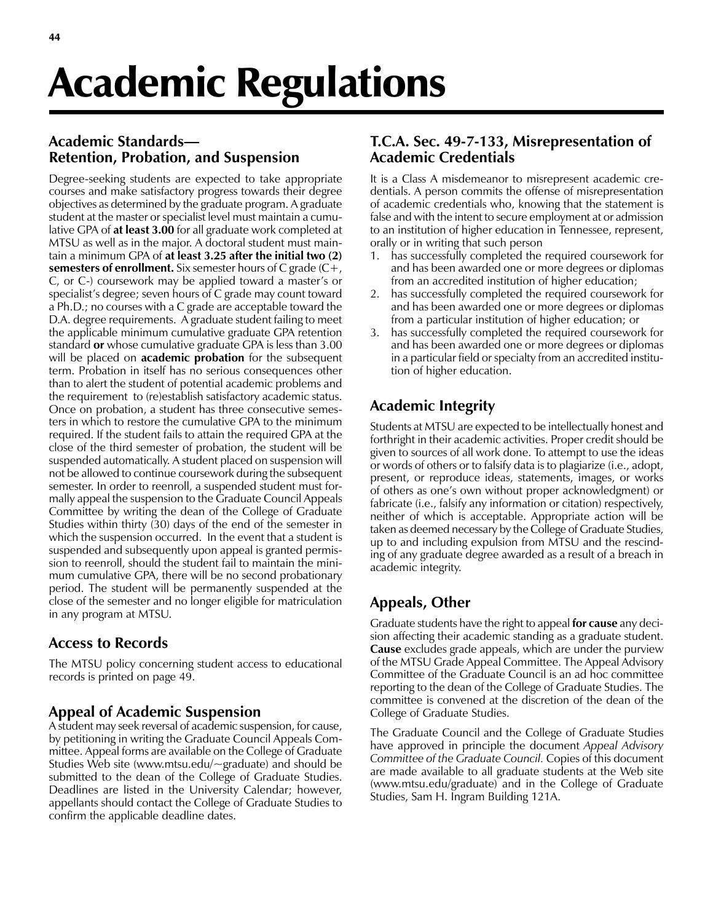# Academic Regulations

# **Academic Standards— Retention, Probation, and Suspension**

Degree-seeking students are expected to take appropriate courses and make satisfactory progress towards their degree objectives as determined by the graduate program. A graduate student at the master or specialist level must maintain a cumulative GPA of **at least 3.00** for all graduate work completed at MTSU as well as in the major. A doctoral student must maintain a minimum GPA of **at least 3.25 after the initial two (2) semesters of enrollment.** Six semester hours of C grade (C+, C, or C-) coursework may be applied toward a master's or specialist's degree; seven hours of C grade may count toward a Ph.D.; no courses with a C grade are acceptable toward the D.A. degree requirements. A graduate student failing to meet the applicable minimum cumulative graduate GPA retention standard **or** whose cumulative graduate GPA is less than 3.00 will be placed on **academic probation** for the subsequent term. Probation in itself has no serious consequences other than to alert the student of potential academic problems and the requirement to (re)establish satisfactory academic status. Once on probation, a student has three consecutive semesters in which to restore the cumulative GPA to the minimum required. If the student fails to attain the required GPA at the close of the third semester of probation, the student will be suspended automatically. A student placed on suspension will not be allowed to continue coursework during the subsequent semester. In order to reenroll, a suspended student must formally appeal the suspension to the Graduate Council Appeals Committee by writing the dean of the College of Graduate Studies within thirty (30) days of the end of the semester in which the suspension occurred. In the event that a student is suspended and subsequently upon appeal is granted permission to reenroll, should the student fail to maintain the minimum cumulative GPA, there will be no second probationary period. The student will be permanently suspended at the close of the semester and no longer eligible for matriculation in any program at MTSU.

# **Access to Records**

The MTSU policy concerning student access to educational records is printed on page 49.

## **Appeal of Academic Suspension**

A student may seek reversal of academic suspension, for cause, by petitioning in writing the Graduate Council Appeals Committee. Appeal forms are available on the College of Graduate Studies Web site (www.mtsu.edu/~graduate) and should be submitted to the dean of the College of Graduate Studies. Deadlines are listed in the University Calendar; however, appellants should contact the College of Graduate Studies to confirm the applicable deadline dates.

## **T.C.A. Sec. 49-7-133, Misrepresentation of Academic Credentials**

It is a Class A misdemeanor to misrepresent academic credentials. A person commits the offense of misrepresentation of academic credentials who, knowing that the statement is false and with the intent to secure employment at or admission to an institution of higher education in Tennessee, represent, orally or in writing that such person

- 1. has successfully completed the required coursework for and has been awarded one or more degrees or diplomas from an accredited institution of higher education;
- 2. has successfully completed the required coursework for and has been awarded one or more degrees or diplomas from a particular institution of higher education; or
- 3. has successfully completed the required coursework for and has been awarded one or more degrees or diplomas in a particular field or specialty from an accredited institution of higher education.

# **Academic Integrity**

Students at MTSU are expected to be intellectually honest and forthright in their academic activities. Proper credit should be given to sources of all work done. To attempt to use the ideas or words of others or to falsify data is to plagiarize (i.e., adopt, present, or reproduce ideas, statements, images, or works of others as one's own without proper acknowledgment) or fabricate (i.e., falsify any information or citation) respectively, neither of which is acceptable. Appropriate action will be taken as deemed necessary by the College of Graduate Studies, up to and including expulsion from MTSU and the rescinding of any graduate degree awarded as a result of a breach in academic integrity.

# **Appeals, Other**

Graduate students have the right to appeal **for cause** any decision affecting their academic standing as a graduate student. **Cause** excludes grade appeals, which are under the purview of the MTSU Grade Appeal Committee. The Appeal Advisory Committee of the Graduate Council is an ad hoc committee reporting to the dean of the College of Graduate Studies. The committee is convened at the discretion of the dean of the College of Graduate Studies.

The Graduate Council and the College of Graduate Studies have approved in principle the document *Appeal Advisory Committee of the Graduate Council.* Copies of this document are made available to all graduate students at the Web site (www.mtsu.edu/graduate) and in the College of Graduate Studies, Sam H. Ingram Building 121A.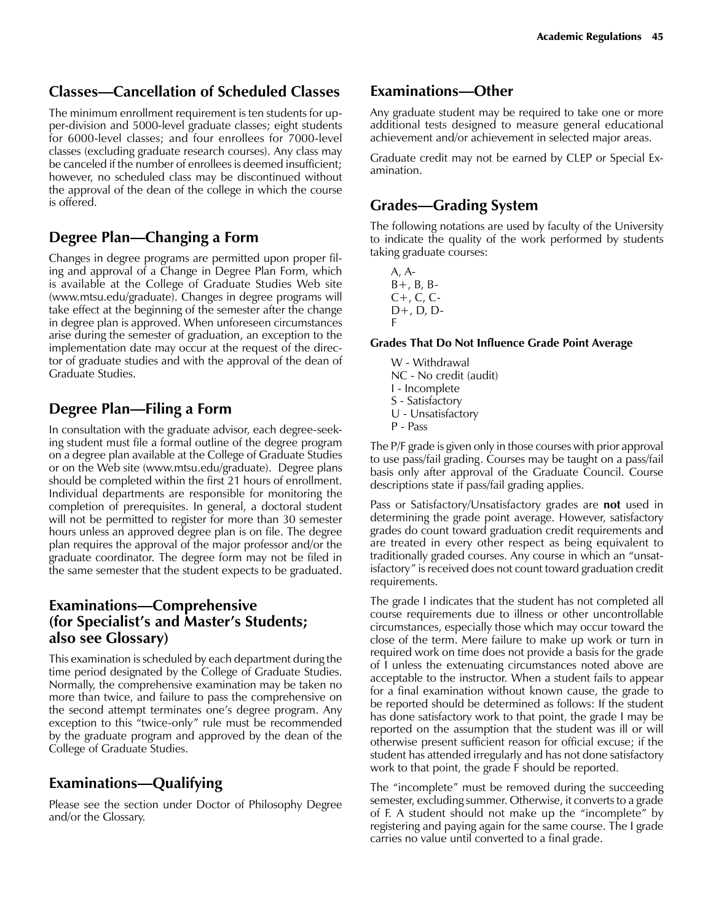# **Classes—Cancellation of Scheduled Classes**

The minimum enrollment requirement is ten students for upper-division and 5000-level graduate classes; eight students for 6000-level classes; and four enrollees for 7000-level classes (excluding graduate research courses). Any class may be canceled if the number of enrollees is deemed insufficient; however, no scheduled class may be discontinued without the approval of the dean of the college in which the course is offered.

## **Degree Plan—Changing a Form**

Changes in degree programs are permitted upon proper filing and approval of a Change in Degree Plan Form, which is available at the College of Graduate Studies Web site (www.mtsu.edu/graduate). Changes in degree programs will take effect at the beginning of the semester after the change in degree plan is approved. When unforeseen circumstances arise during the semester of graduation, an exception to the implementation date may occur at the request of the director of graduate studies and with the approval of the dean of Graduate Studies.

## **Degree Plan—Filing a Form**

In consultation with the graduate advisor, each degree-seeking student must file a formal outline of the degree program on a degree plan available at the College of Graduate Studies or on the Web site (www.mtsu.edu/graduate). Degree plans should be completed within the first 21 hours of enrollment. Individual departments are responsible for monitoring the completion of prerequisites. In general, a doctoral student will not be permitted to register for more than 30 semester hours unless an approved degree plan is on file. The degree plan requires the approval of the major professor and/or the graduate coordinator. The degree form may not be filed in the same semester that the student expects to be graduated.

## **Examinations—Comprehensive (for Specialist's and Master's Students; also see Glossary)**

This examination is scheduled by each department during the time period designated by the College of Graduate Studies. Normally, the comprehensive examination may be taken no more than twice, and failure to pass the comprehensive on the second attempt terminates one's degree program. Any exception to this "twice-only" rule must be recommended by the graduate program and approved by the dean of the College of Graduate Studies.

# **Examinations—Qualifying**

Please see the section under Doctor of Philosophy Degree and/or the Glossary.

## **Examinations—Other**

Any graduate student may be required to take one or more additional tests designed to measure general educational achievement and/or achievement in selected major areas.

Graduate credit may not be earned by CLEP or Special Examination.

## **Grades—Grading System**

The following notations are used by faculty of the University to indicate the quality of the work performed by students taking graduate courses:

A, A- $B+, B, B C_{+}$ ,  $C_{0}$ ,  $C_{-}$ D+, D, D-F

#### **Grades That Do Not Influence Grade Point Average**

W - Withdrawal NC - No credit (audit) I - Incomplete S - Satisfactory U - Unsatisfactory P - Pass

The P/F grade is given only in those courses with prior approval to use pass/fail grading. Courses may be taught on a pass/fail basis only after approval of the Graduate Council. Course descriptions state if pass/fail grading applies.

Pass or Satisfactory/Unsatisfactory grades are **not** used in determining the grade point average. However, satisfactory grades do count toward graduation credit requirements and are treated in every other respect as being equivalent to traditionally graded courses. Any course in which an "unsatisfactory" is received does not count toward graduation credit requirements.

The grade I indicates that the student has not completed all course requirements due to illness or other uncontrollable circumstances, especially those which may occur toward the close of the term. Mere failure to make up work or turn in required work on time does not provide a basis for the grade of I unless the extenuating circumstances noted above are acceptable to the instructor. When a student fails to appear for a final examination without known cause, the grade to be reported should be determined as follows: If the student has done satisfactory work to that point, the grade I may be reported on the assumption that the student was ill or will otherwise present sufficient reason for official excuse; if the student has attended irregularly and has not done satisfactory work to that point, the grade F should be reported.

The "incomplete" must be removed during the succeeding semester, excluding summer. Otherwise, it converts to a grade of F. A student should not make up the "incomplete" by registering and paying again for the same course. The I grade carries no value until converted to a final grade.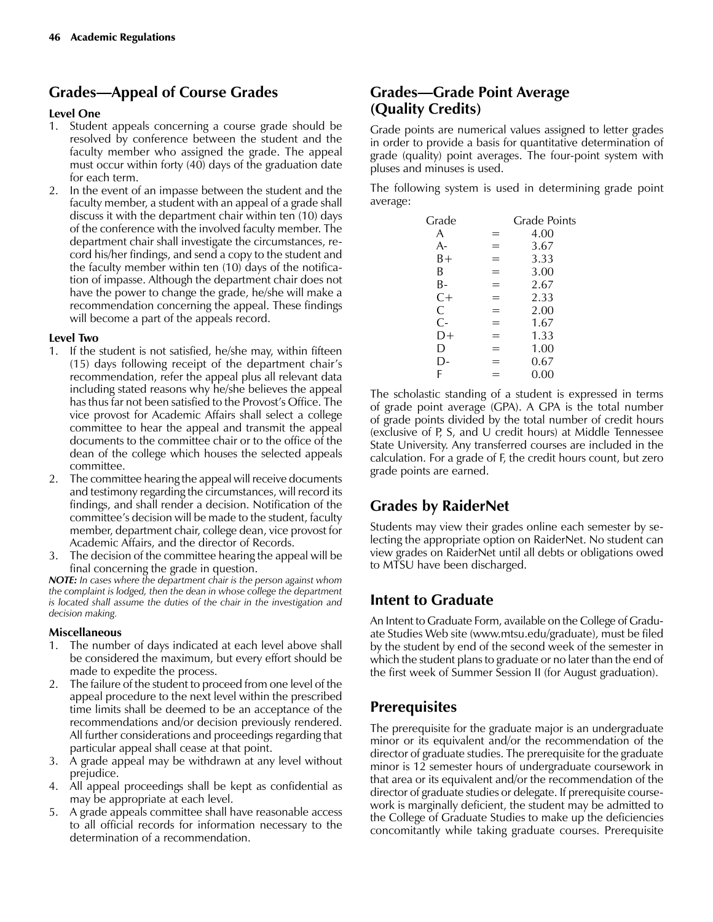# **Grades—Appeal of Course Grades**

#### **Level One**

- 1. Student appeals concerning a course grade should be resolved by conference between the student and the faculty member who assigned the grade. The appeal must occur within forty (40) days of the graduation date for each term.
- 2. In the event of an impasse between the student and the faculty member, a student with an appeal of a grade shall discuss it with the department chair within ten (10) days of the conference with the involved faculty member. The department chair shall investigate the circumstances, record his/her findings, and send a copy to the student and the faculty member within ten (10) days of the notification of impasse. Although the department chair does not have the power to change the grade, he/she will make a recommendation concerning the appeal. These findings will become a part of the appeals record.

#### **Level Two**

- 1. If the student is not satisfied, he/she may, within fifteen (15) days following receipt of the department chair's recommendation, refer the appeal plus all relevant data including stated reasons why he/she believes the appeal has thus far not been satisfied to the Provost's Office. The vice provost for Academic Affairs shall select a college committee to hear the appeal and transmit the appeal documents to the committee chair or to the office of the dean of the college which houses the selected appeals committee.
- 2. The committee hearing the appeal will receive documents and testimony regarding the circumstances, will record its findings, and shall render a decision. Notification of the committee's decision will be made to the student, faculty member, department chair, college dean, vice provost for Academic Affairs, and the director of Records.
- 3. The decision of the committee hearing the appeal will be final concerning the grade in question.

*NOTE: In cases where the department chair is the person against whom the complaint is lodged, then the dean in whose college the department is located shall assume the duties of the chair in the investigation and decision making.*

#### **Miscellaneous**

- 1. The number of days indicated at each level above shall be considered the maximum, but every effort should be made to expedite the process.
- 2. The failure of the student to proceed from one level of the appeal procedure to the next level within the prescribed time limits shall be deemed to be an acceptance of the recommendations and/or decision previously rendered. All further considerations and proceedings regarding that particular appeal shall cease at that point.
- 3. A grade appeal may be withdrawn at any level without prejudice.
- 4. All appeal proceedings shall be kept as confidential as may be appropriate at each level.
- 5. A grade appeals committee shall have reasonable access to all official records for information necessary to the determination of a recommendation.

## **Grades—Grade Point Average (Quality Credits)**

Grade points are numerical values assigned to letter grades in order to provide a basis for quantitative determination of grade (quality) point averages. The four-point system with pluses and minuses is used.

The following system is used in determining grade point average:

| Grade |           | Grade Points |
|-------|-----------|--------------|
| A     | Ξ         | 4.00         |
| A-    | ═         | 3.67         |
| B+    |           | 3.33         |
| B     | ═         | 3.00         |
| В-    | $\equiv$  | 2.67         |
| $C+$  | =         | 2.33         |
| C     | Ξ         | 2.00         |
| $C -$ | $\, = \,$ | 1.67         |
| D+    | =         | 1.33         |
| D     | =         | 1.00         |
| l )-  | =         | 0.67         |
| F     |           | 0.00         |
|       |           |              |

The scholastic standing of a student is expressed in terms of grade point average (GPA). A GPA is the total number of grade points divided by the total number of credit hours (exclusive of P, S, and U credit hours) at Middle Tennessee State University. Any transferred courses are included in the calculation. For a grade of F, the credit hours count, but zero grade points are earned.

# **Grades by RaiderNet**

Students may view their grades online each semester by selecting the appropriate option on RaiderNet. No student can view grades on RaiderNet until all debts or obligations owed to MTSU have been discharged.

# **Intent to Graduate**

An Intent to Graduate Form, available on the College of Graduate Studies Web site (www.mtsu.edu/graduate), must be filed by the student by end of the second week of the semester in which the student plans to graduate or no later than the end of the first week of Summer Session II (for August graduation).

# **Prerequisites**

The prerequisite for the graduate major is an undergraduate minor or its equivalent and/or the recommendation of the director of graduate studies. The prerequisite for the graduate minor is 12 semester hours of undergraduate coursework in that area or its equivalent and/or the recommendation of the director of graduate studies or delegate. If prerequisite coursework is marginally deficient, the student may be admitted to the College of Graduate Studies to make up the deficiencies concomitantly while taking graduate courses. Prerequisite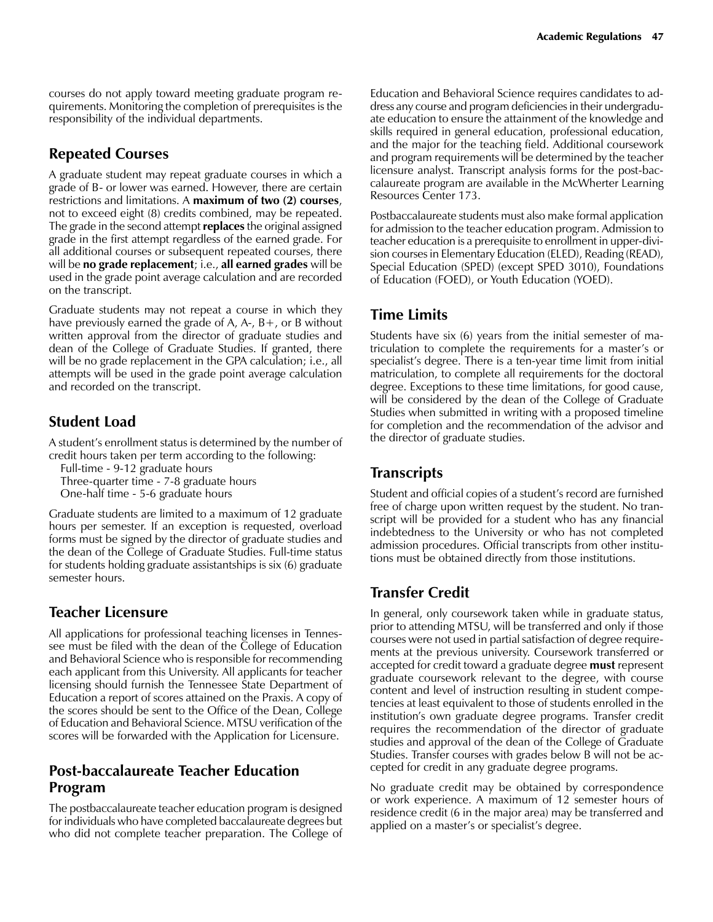courses do not apply toward meeting graduate program requirements. Monitoring the completion of prerequisites is the responsibility of the individual departments.

## **Repeated Courses**

A graduate student may repeat graduate courses in which a grade of B- or lower was earned. However, there are certain restrictions and limitations. A **maximum of two (2) courses**, not to exceed eight (8) credits combined, may be repeated. The grade in the second attempt **replaces** the original assigned grade in the first attempt regardless of the earned grade. For all additional courses or subsequent repeated courses, there will be **no grade replacement**; i.e., **all earned grades** will be used in the grade point average calculation and are recorded on the transcript.

Graduate students may not repeat a course in which they have previously earned the grade of A,  $A$ -,  $B$ +, or B without written approval from the director of graduate studies and dean of the College of Graduate Studies. If granted, there will be no grade replacement in the GPA calculation; i.e., all attempts will be used in the grade point average calculation and recorded on the transcript.

## **Student Load**

A student's enrollment status is determined by the number of credit hours taken per term according to the following:

Full-time - 9-12 graduate hours

Three-quarter time - 7-8 graduate hours

One-half time - 5-6 graduate hours

Graduate students are limited to a maximum of 12 graduate hours per semester. If an exception is requested, overload forms must be signed by the director of graduate studies and the dean of the College of Graduate Studies. Full-time status for students holding graduate assistantships is six (6) graduate semester hours.

## **Teacher Licensure**

All applications for professional teaching licenses in Tennessee must be filed with the dean of the College of Education and Behavioral Science who is responsible for recommending each applicant from this University. All applicants for teacher licensing should furnish the Tennessee State Department of Education a report of scores attained on the Praxis. A copy of the scores should be sent to the Office of the Dean, College of Education and Behavioral Science. MTSU verification of the scores will be forwarded with the Application for Licensure.

## **Post-baccalaureate Teacher Education Program**

The postbaccalaureate teacher education program is designed for individuals who have completed baccalaureate degrees but who did not complete teacher preparation. The College of Education and Behavioral Science requires candidates to address any course and program deficiencies in their undergraduate education to ensure the attainment of the knowledge and skills required in general education, professional education, and the major for the teaching field. Additional coursework and program requirements will be determined by the teacher licensure analyst. Transcript analysis forms for the post-baccalaureate program are available in the McWherter Learning Resources Center 173.

Postbaccalaureate students must also make formal application for admission to the teacher education program. Admission to teacher education is a prerequisite to enrollment in upper-division courses in Elementary Education (ELED), Reading (READ), Special Education (SPED) (except SPED 3010), Foundations of Education (FOED), or Youth Education (YOED).

# **Time Limits**

Students have six (6) years from the initial semester of matriculation to complete the requirements for a master's or specialist's degree. There is a ten-year time limit from initial matriculation, to complete all requirements for the doctoral degree. Exceptions to these time limitations, for good cause, will be considered by the dean of the College of Graduate Studies when submitted in writing with a proposed timeline for completion and the recommendation of the advisor and the director of graduate studies.

# **Transcripts**

Student and official copies of a student's record are furnished free of charge upon written request by the student. No transcript will be provided for a student who has any financial indebtedness to the University or who has not completed admission procedures. Official transcripts from other institutions must be obtained directly from those institutions.

# **Transfer Credit**

In general, only coursework taken while in graduate status, prior to attending MTSU, will be transferred and only if those courses were not used in partial satisfaction of degree requirements at the previous university. Coursework transferred or accepted for credit toward a graduate degree **must** represent graduate coursework relevant to the degree, with course content and level of instruction resulting in student competencies at least equivalent to those of students enrolled in the institution's own graduate degree programs. Transfer credit requires the recommendation of the director of graduate studies and approval of the dean of the College of Graduate Studies. Transfer courses with grades below B will not be accepted for credit in any graduate degree programs.

No graduate credit may be obtained by correspondence or work experience. A maximum of 12 semester hours of residence credit (6 in the major area) may be transferred and applied on a master's or specialist's degree.